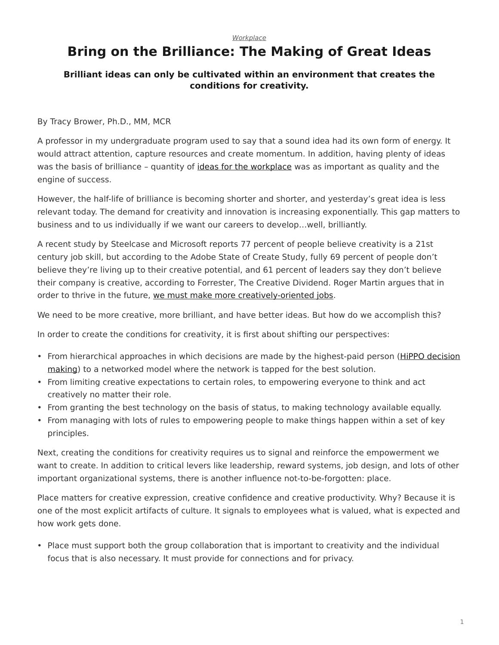## *[Workplace](https://www.steelcase.com/research/topics/workplace/)*

## <span id="page-0-0"></span>**Bring on the Brilliance: The Making of Great Ideas**

## **Brilliant ideas can only be cultivated within an environment that creates the conditions for creativity.**

## By Tracy Brower, Ph.D., MM, MCR

A professor in my undergraduate program used to say that a sound idea had its own form of energy. It would attract attention, capture resources and create momentum. In addition, having plenty of ideas was the basis of brilliance – quantity of [ideas for the workplace](https://www.steelcase.com/resources/space-planning-ideas/industry/workplace/) was as important as quality and the engine of success.

However, the half-life of brilliance is becoming shorter and shorter, and yesterday's great idea is less relevant today. The demand for creativity and innovation is increasing exponentially. This gap matters to business and to us individually if we want our careers to develop…well, brilliantly.

A recent study by Steelcase and Microsoft reports 77 percent of people believe creativity is a 21st century job skill, but according to the Adobe State of Create Study, fully 69 percent of people don't believe they're living up to their creative potential, and 61 percent of leaders say they don't believe their company is creative, according to Forrester, The Creative Dividend. Roger Martin argues that in order to thrive in the future, [we must make more creatively-oriented jobs](https://hbr.org/2012/02/the-us-needs-to-make-more-jobs).

We need to be more creative, more brilliant, and have better ideas. But how do we accomplish this?

In order to create the conditions for creativity, it is first about shifting our perspectives:

- From hierarchical approaches in which decisions are made by the highest-paid person [\(HiPPO decision](https://hbr.org/2016/02/the-antidote-to-hippos-crowd-voting) [making](https://hbr.org/2016/02/the-antidote-to-hippos-crowd-voting)) to a networked model where the network is tapped for the best solution.
- From limiting creative expectations to certain roles, to empowering everyone to think and act creatively no matter their role.
- From granting the best technology on the basis of status, to making technology available equally.
- From managing with lots of rules to empowering people to make things happen within a set of key principles.

Next, creating the conditions for creativity requires us to signal and reinforce the empowerment we want to create. In addition to critical levers like leadership, reward systems, job design, and lots of other important organizational systems, there is another influence not-to-be-forgotten: place.

Place matters for creative expression, creative confidence and creative productivity. Why? Because it is one of the most explicit artifacts of culture. It signals to employees what is valued, what is expected and how work gets done.

• Place must support both the group collaboration that is important to creativity and the individual focus that is also necessary. It must provide for connections and for privacy.